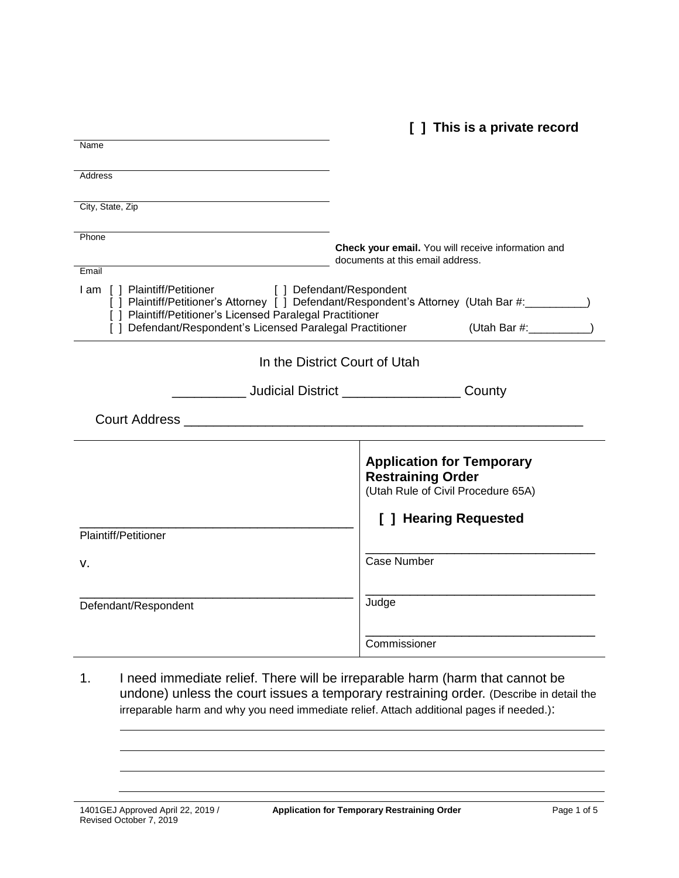**[ ] This is a private record**

| Name                                                                                                                    |                                                                                                                |
|-------------------------------------------------------------------------------------------------------------------------|----------------------------------------------------------------------------------------------------------------|
|                                                                                                                         |                                                                                                                |
| Address                                                                                                                 |                                                                                                                |
|                                                                                                                         |                                                                                                                |
| City, State, Zip                                                                                                        |                                                                                                                |
| Phone                                                                                                                   |                                                                                                                |
|                                                                                                                         | Check your email. You will receive information and<br>documents at this email address.                         |
| Email                                                                                                                   |                                                                                                                |
| I am [ ] Plaintiff/Petitioner [ ] Defendant/Respondent                                                                  | [ ] Plaintiff/Petitioner's Attorney [ ] Defendant/Respondent's Attorney (Utah Bar #: \\stationglend{ilmain 0.1 |
| [ ] Plaintiff/Petitioner's Licensed Paralegal Practitioner<br>[] Defendant/Respondent's Licensed Paralegal Practitioner | (Utah Bar #: ____________)                                                                                     |
| In the District Court of Utah                                                                                           |                                                                                                                |
|                                                                                                                         | <b>County</b> Judicial District <b>COUNTY</b>                                                                  |
|                                                                                                                         |                                                                                                                |
|                                                                                                                         | <b>Application for Temporary</b><br><b>Restraining Order</b><br>(Utah Rule of Civil Procedure 65A)             |
| Plaintiff/Petitioner                                                                                                    | [ ] Hearing Requested                                                                                          |
| v.                                                                                                                      | Case Number                                                                                                    |
| Defendant/Respondent                                                                                                    | Judge                                                                                                          |
|                                                                                                                         | Commissioner                                                                                                   |

1. I need immediate relief. There will be irreparable harm (harm that cannot be undone) unless the court issues a temporary restraining order. (Describe in detail the irreparable harm and why you need immediate relief. Attach additional pages if needed.):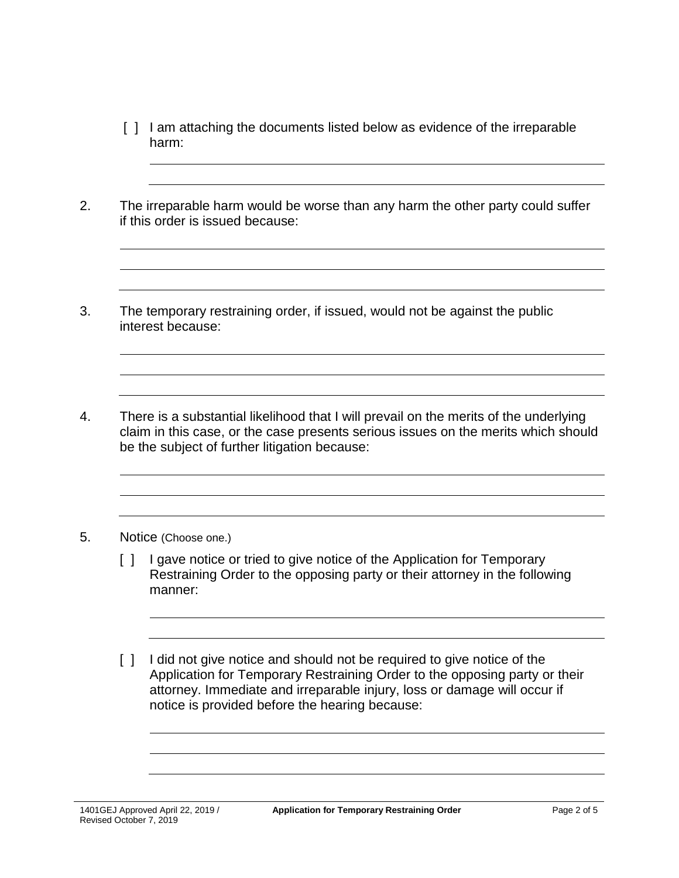- [ ] I am attaching the documents listed below as evidence of the irreparable harm:
- 2. The irreparable harm would be worse than any harm the other party could suffer if this order is issued because:
- 3. The temporary restraining order, if issued, would not be against the public interest because:
- 4. There is a substantial likelihood that I will prevail on the merits of the underlying claim in this case, or the case presents serious issues on the merits which should be the subject of further litigation because:

#### 5. Notice (Choose one.)

- [] I gave notice or tried to give notice of the Application for Temporary Restraining Order to the opposing party or their attorney in the following manner:
- [] I did not give notice and should not be required to give notice of the Application for Temporary Restraining Order to the opposing party or their attorney. Immediate and irreparable injury, loss or damage will occur if notice is provided before the hearing because: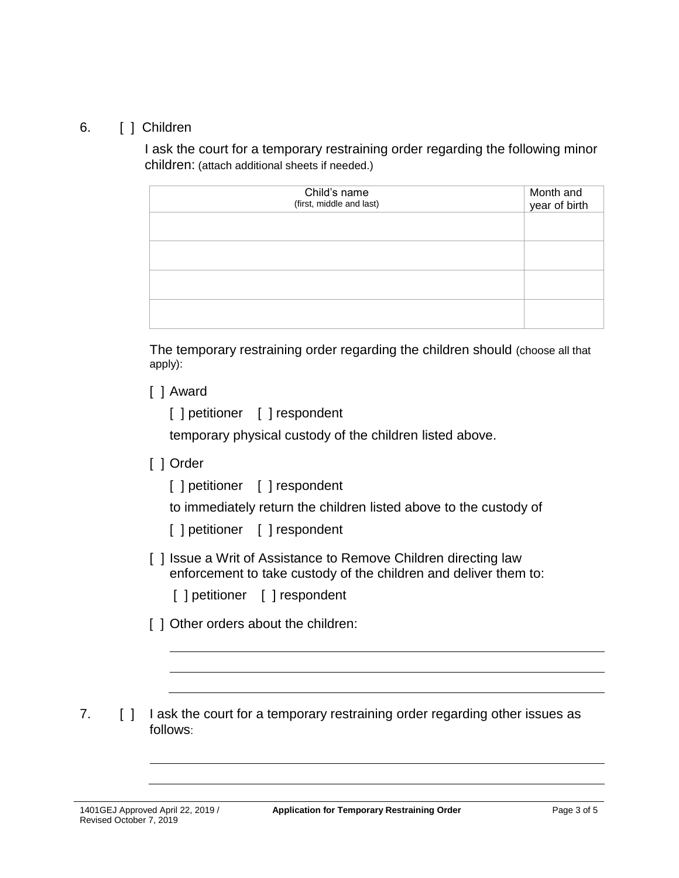## 6. [ ] Children

I ask the court for a temporary restraining order regarding the following minor children: (attach additional sheets if needed.)

| Child's name<br>(first, middle and last) | Month and<br>year of birth |
|------------------------------------------|----------------------------|
|                                          |                            |
|                                          |                            |
|                                          |                            |
|                                          |                            |

The temporary restraining order regarding the children should (choose all that apply):

[ ] Award

[ ] petitioner [ ] respondent

temporary physical custody of the children listed above.

## [ ] Order

[ ] petitioner [ ] respondent

to immediately return the children listed above to the custody of

[ ] petitioner [ ] respondent

- [ ] Issue a Writ of Assistance to Remove Children directing law enforcement to take custody of the children and deliver them to:
	- [ ] petitioner [ ] respondent
- [ ] Other orders about the children:

7. [ ] I ask the court for a temporary restraining order regarding other issues as follows: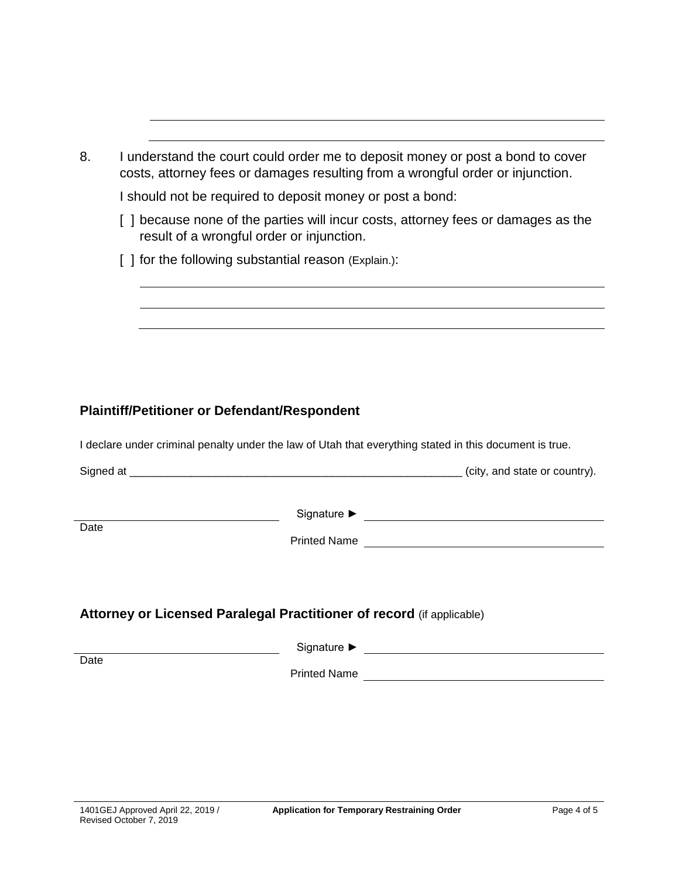| 8. | I understand the court could order me to deposit money or post a bond to cover<br>costs, attorney fees or damages resulting from a wrongful order or injunction. |
|----|------------------------------------------------------------------------------------------------------------------------------------------------------------------|
|    | I should not be required to deposit money or post a bond:                                                                                                        |
|    | because none of the parties will incur costs, attorney fees or damages as the<br>result of a wrongful order or injunction.                                       |
|    | [ ] for the following substantial reason (Explain.):                                                                                                             |
|    |                                                                                                                                                                  |
|    |                                                                                                                                                                  |
|    |                                                                                                                                                                  |
|    |                                                                                                                                                                  |

# **Plaintiff/Petitioner or Defendant/Respondent**

I declare under criminal penalty under the law of Utah that everything stated in this document is true.

|                                                                       | (city, and state or country). |  |  |  |  |
|-----------------------------------------------------------------------|-------------------------------|--|--|--|--|
| Date                                                                  |                               |  |  |  |  |
| Attorney or Licensed Paralegal Practitioner of record (if applicable) |                               |  |  |  |  |
| Date                                                                  | <b>Printed Name</b>           |  |  |  |  |